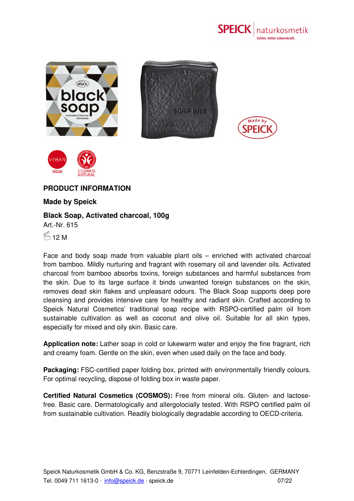









## **PRODUCT INFORMATION**

## **Made by Speick**

## **Black Soap, Activated charcoal, 100g**

Art.-Nr. 615

 $$12 M$ 

Face and body soap made from valuable plant oils – enriched with activated charcoal from bamboo. Mildly nurturing and fragrant with rosemary oil and lavender oils. Activated charcoal from bamboo absorbs toxins, foreign substances and harmful substances from the skin. Due to its large surface it binds unwanted foreign substances on the skin, removes dead skin flakes and unpleasant odours. The Black Soap supports deep pore cleansing and provides intensive care for healthy and radiant skin. Crafted according to Speick Natural Cosmetics' traditional soap recipe with RSPO-certified palm oil from sustainable cultivation as well as coconut and olive oil. Suitable for all skin types, especially for mixed and oily skin. Basic care.

**Application note:** Lather soap in cold or lukewarm water and enjoy the fine fragrant, rich and creamy foam. Gentle on the skin, even when used daily on the face and body.

**Packaging:** FSC-certified paper folding box, printed with environmentally friendly colours. For optimal recycling, dispose of folding box in waste paper.

**Certified Natural Cosmetics (COSMOS):** Free from mineral oils. Gluten- and lactosefree. Basic care. Dermatologically and allergolocially tested. With RSPO certified palm oil from sustainable cultivation. Readily biologically degradable according to OECD-criteria.